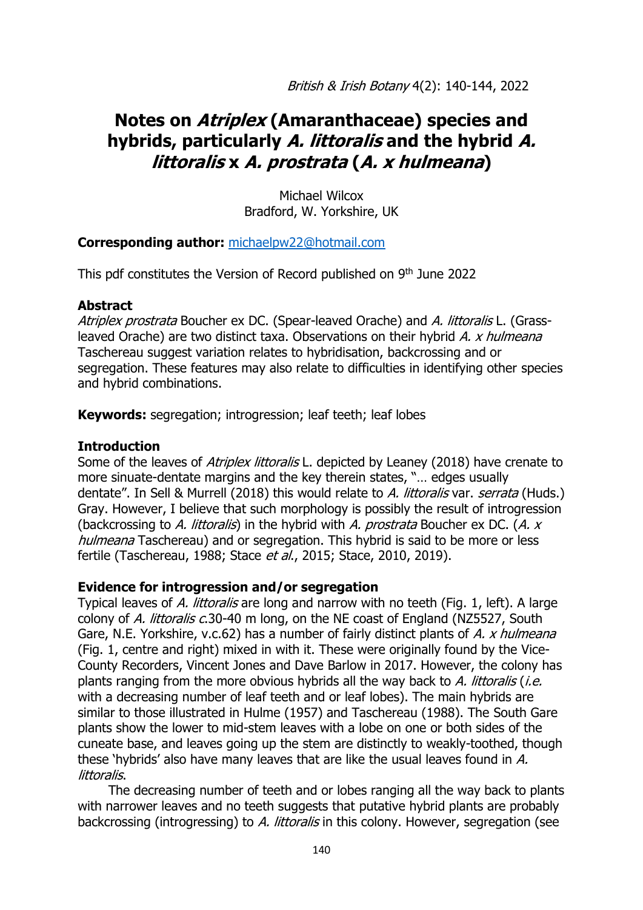British & Irish Botany 4(2): 140-144, 2022

# **Notes on Atriplex (Amaranthaceae) species and hybrids, particularly A. littoralis and the hybrid A. littoralis x A. prostrata (A. x hulmeana)**

Michael Wilcox Bradford, W. Yorkshire, UK

#### **Corresponding author:** [michaelpw22@hotmail.com](mailto:michaelpw22@hotmail.com)

This pdf constitutes the Version of Record published on 9<sup>th</sup> June 2022

#### **Abstract**

Atriplex prostrata Boucher ex DC. (Spear-leaved Orache) and A. littoralis L. (Grassleaved Orache) are two distinct taxa. Observations on their hybrid A. x hulmeana Taschereau suggest variation relates to hybridisation, backcrossing and or segregation. These features may also relate to difficulties in identifying other species and hybrid combinations.

**Keywords:** segregation; introgression; leaf teeth; leaf lobes

## **Introduction**

Some of the leaves of *Atriplex littoralis* L. depicted by Leaney (2018) have crenate to more sinuate-dentate margins and the key therein states, "… edges usually dentate". In Sell & Murrell (2018) this would relate to A. littoralis var. serrata (Huds.) Gray. However, I believe that such morphology is possibly the result of introgression (backcrossing to A. littoralis) in the hybrid with A. prostrata Boucher ex DC. (A.  $x$ hulmeana Taschereau) and or segregation. This hybrid is said to be more or less fertile (Taschereau, 1988; Stace et al., 2015; Stace, 2010, 2019).

## **Evidence for introgression and/or segregation**

Typical leaves of A. littoralis are long and narrow with no teeth (Fig. 1, left). A large colony of A. littoralis c.30-40 m long, on the NE coast of England (NZ5527, South Gare, N.E. Yorkshire, v.c.62) has a number of fairly distinct plants of A. x hulmeana (Fig. 1, centre and right) mixed in with it. These were originally found by the Vice-County Recorders, Vincent Jones and Dave Barlow in 2017. However, the colony has plants ranging from the more obvious hybrids all the way back to  $A$ . littoralis (i.e. with a decreasing number of leaf teeth and or leaf lobes). The main hybrids are similar to those illustrated in Hulme (1957) and Taschereau (1988). The South Gare plants show the lower to mid-stem leaves with a lobe on one or both sides of the cuneate base, and leaves going up the stem are distinctly to weakly-toothed, though these 'hybrids' also have many leaves that are like the usual leaves found in A. littoralis.

The decreasing number of teeth and or lobes ranging all the way back to plants with narrower leaves and no teeth suggests that putative hybrid plants are probably backcrossing (introgressing) to A. littoralis in this colony. However, segregation (see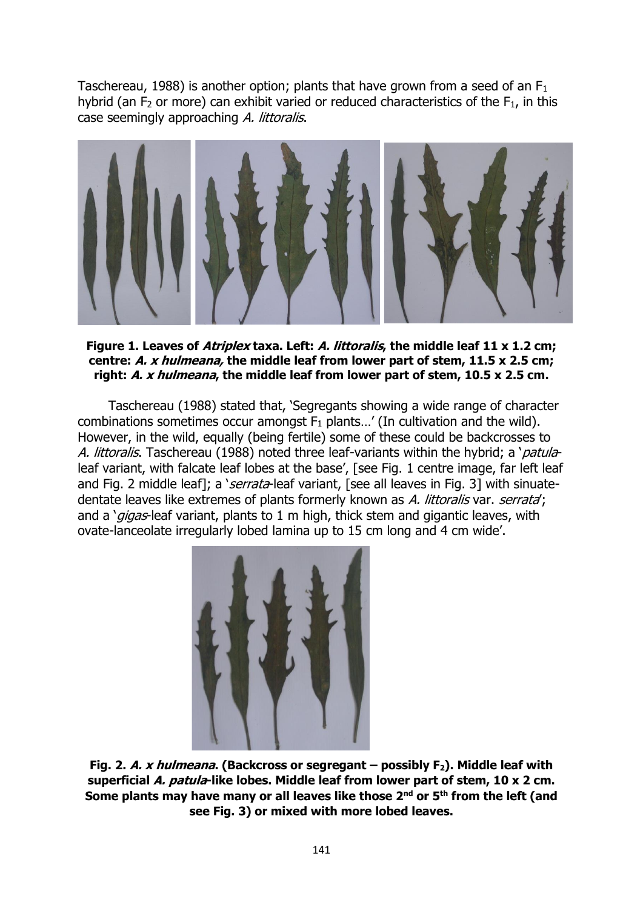Taschereau, 1988) is another option; plants that have grown from a seed of an  $F_1$ hybrid (an  $F_2$  or more) can exhibit varied or reduced characteristics of the  $F_1$ , in this case seemingly approaching A. littoralis.



**Figure 1. Leaves of Atriplex taxa. Left: A. littoralis, the middle leaf 11 x 1.2 cm; centre: A. x hulmeana, the middle leaf from lower part of stem, 11.5 x 2.5 cm; right: A. x hulmeana, the middle leaf from lower part of stem, 10.5 x 2.5 cm.**

Taschereau (1988) stated that, 'Segregants showing a wide range of character combinations sometimes occur amongst  $F_1$  plants...' (In cultivation and the wild). However, in the wild, equally (being fertile) some of these could be backcrosses to A. littoralis. Taschereau (1988) noted three leaf-variants within the hybrid; a 'patulaleaf variant, with falcate leaf lobes at the base', [see Fig. 1 centre image, far left leaf and Fig. 2 middle leaf]; a 'serrata-leaf variant, [see all leaves in Fig. 3] with sinuatedentate leaves like extremes of plants formerly known as A. littoralis var. serrata; and a 'gigas-leaf variant, plants to 1 m high, thick stem and gigantic leaves, with ovate-lanceolate irregularly lobed lamina up to 15 cm long and 4 cm wide'.



**Fig. 2. A. x hulmeana. (Backcross or segregant – possibly F2). Middle leaf with superficial A. patula-like lobes. Middle leaf from lower part of stem, 10 x 2 cm. Some plants may have many or all leaves like those 2nd or 5th from the left (and see Fig. 3) or mixed with more lobed leaves.**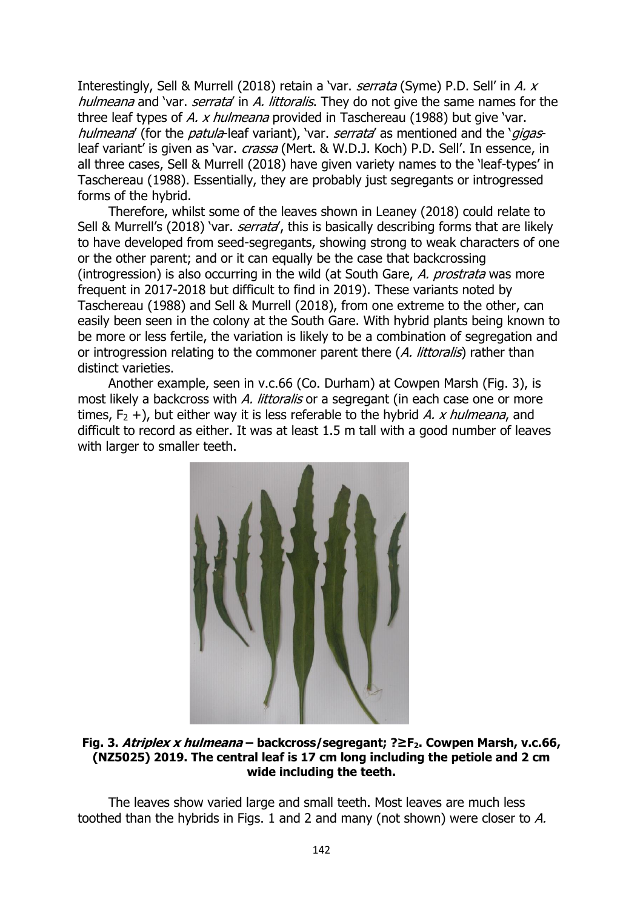Interestingly, Sell & Murrell (2018) retain a 'var. serrata (Syme) P.D. Sell' in A. x hulmeana and 'var. serrata' in A. littoralis. They do not give the same names for the three leaf types of A. x hulmeana provided in Taschereau (1988) but give 'var. hulmeana' (for the patula-leaf variant), 'var. serrata' as mentioned and the 'gigasleaf variant' is given as 'var. *crassa* (Mert. & W.D.J. Koch) P.D. Sell'. In essence, in all three cases, Sell & Murrell (2018) have given variety names to the 'leaf-types' in Taschereau (1988). Essentially, they are probably just segregants or introgressed forms of the hybrid.

Therefore, whilst some of the leaves shown in Leaney (2018) could relate to Sell & Murrell's (2018) 'var. serrata', this is basically describing forms that are likely to have developed from seed-segregants, showing strong to weak characters of one or the other parent; and or it can equally be the case that backcrossing (introgression) is also occurring in the wild (at South Gare, A. prostrata was more frequent in 2017-2018 but difficult to find in 2019). These variants noted by Taschereau (1988) and Sell & Murrell (2018), from one extreme to the other, can easily been seen in the colony at the South Gare. With hybrid plants being known to be more or less fertile, the variation is likely to be a combination of segregation and or introgression relating to the commoner parent there (A. littoralis) rather than distinct varieties.

Another example, seen in v.c.66 (Co. Durham) at Cowpen Marsh (Fig. 3), is most likely a backcross with A. littoralis or a segregant (in each case one or more times,  $F_2$  +), but either way it is less referable to the hybrid A. x hulmeana, and difficult to record as either. It was at least 1.5 m tall with a good number of leaves with larger to smaller teeth.



**Fig. 3. Atriplex x hulmeana – backcross/segregant; ?≥F2. Cowpen Marsh, v.c.66, (NZ5025) 2019. The central leaf is 17 cm long including the petiole and 2 cm wide including the teeth.**

The leaves show varied large and small teeth. Most leaves are much less toothed than the hybrids in Figs. 1 and 2 and many (not shown) were closer to A.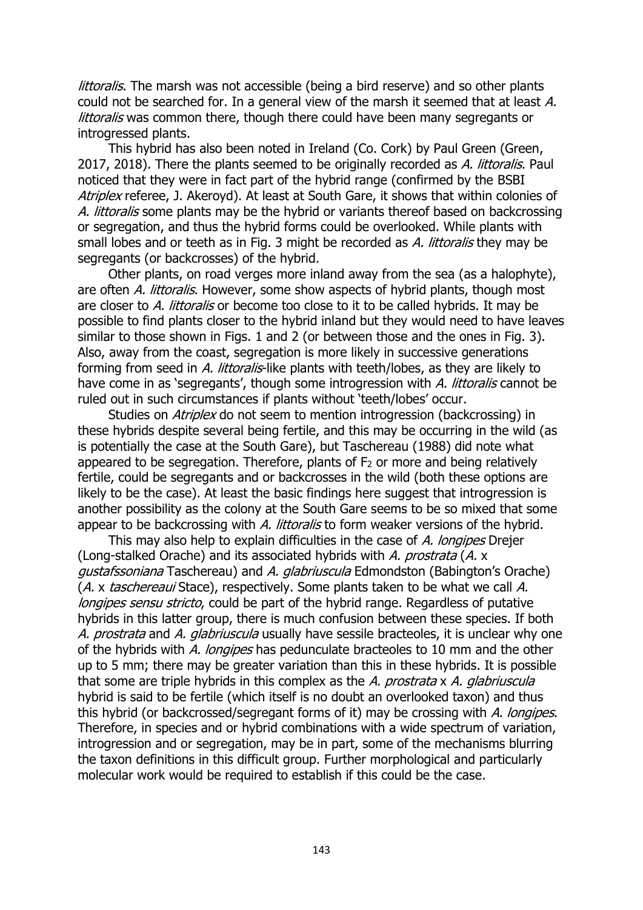littoralis. The marsh was not accessible (being a bird reserve) and so other plants could not be searched for. In a general view of the marsh it seemed that at least A. littoralis was common there, though there could have been many segregants or introgressed plants.

This hybrid has also been noted in Ireland (Co. Cork) by Paul Green (Green, 2017, 2018). There the plants seemed to be originally recorded as A. littoralis. Paul noticed that they were in fact part of the hybrid range (confirmed by the BSBI Atriplex referee, J. Akeroyd). At least at South Gare, it shows that within colonies of A. littoralis some plants may be the hybrid or variants thereof based on backcrossing or segregation, and thus the hybrid forms could be overlooked. While plants with small lobes and or teeth as in Fig. 3 might be recorded as A. littoralis they may be segregants (or backcrosses) of the hybrid.

Other plants, on road verges more inland away from the sea (as a halophyte), are often A. littoralis. However, some show aspects of hybrid plants, though most are closer to A. littoralis or become too close to it to be called hybrids. It may be possible to find plants closer to the hybrid inland but they would need to have leaves similar to those shown in Figs. 1 and 2 (or between those and the ones in Fig. 3). Also, away from the coast, segregation is more likely in successive generations forming from seed in A. littoralis-like plants with teeth/lobes, as they are likely to have come in as 'segregants', though some introgression with A. littoralis cannot be ruled out in such circumstances if plants without 'teeth/lobes' occur.

Studies on *Atriplex* do not seem to mention introgression (backcrossing) in these hybrids despite several being fertile, and this may be occurring in the wild (as is potentially the case at the South Gare), but Taschereau (1988) did note what appeared to be segregation. Therefore, plants of  $F_2$  or more and being relatively fertile, could be segregants and or backcrosses in the wild (both these options are likely to be the case). At least the basic findings here suggest that introgression is another possibility as the colony at the South Gare seems to be so mixed that some appear to be backcrossing with A. littoralis to form weaker versions of the hybrid.

This may also help to explain difficulties in the case of A. longipes Drejer (Long-stalked Orache) and its associated hybrids with A. prostrata (A. x gustafssoniana Taschereau) and A. glabriuscula Edmondston (Babington's Orache) (A, x taschereaui Stace), respectively. Some plants taken to be what we call A. longipes sensu stricto, could be part of the hybrid range. Regardless of putative hybrids in this latter group, there is much confusion between these species. If both A. prostrata and A. glabriuscula usually have sessile bracteoles, it is unclear why one of the hybrids with A. longipes has pedunculate bracteoles to 10 mm and the other up to 5 mm; there may be greater variation than this in these hybrids. It is possible that some are triple hybrids in this complex as the A. prostrata x A. glabriuscula hybrid is said to be fertile (which itself is no doubt an overlooked taxon) and thus this hybrid (or backcrossed/segregant forms of it) may be crossing with A. longipes. Therefore, in species and or hybrid combinations with a wide spectrum of variation, introgression and or segregation, may be in part, some of the mechanisms blurring the taxon definitions in this difficult group. Further morphological and particularly molecular work would be required to establish if this could be the case.